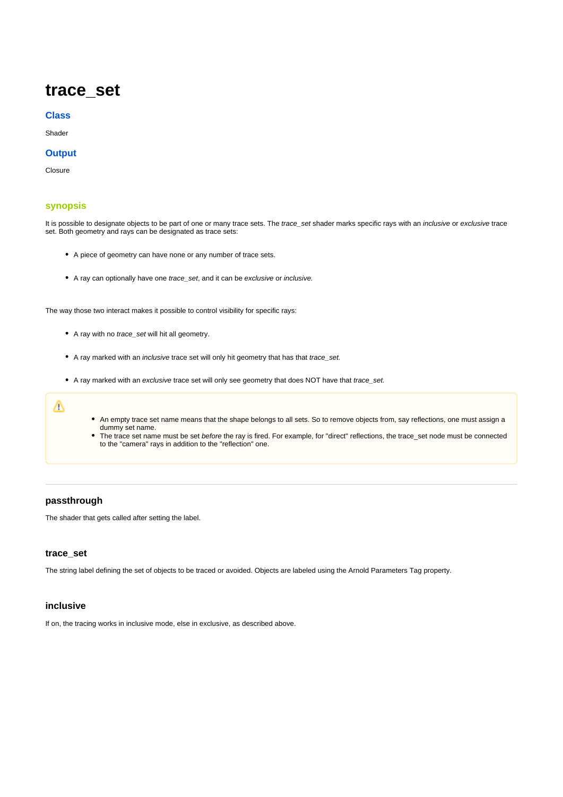# **trace\_set**

#### **Class**

Shader

### **Output**

Closure

## <span id="page-0-0"></span>**[synopsis](#page-0-0)**

It is possible to designate objects to be part of one or many trace sets. The trace\_set shader marks specific rays with an *inclusive* or exclusive trace set. Both geometry and rays can be designated as trace sets:

- A piece of geometry can have none or any number of trace sets.
- A ray can optionally have one trace\_set, and it can be exclusive or inclusive.

The way those two interact makes it possible to control visibility for specific rays:

- A ray with no trace\_set will hit all geometry.
- A ray marked with an inclusive trace set will only hit geometry that has that trace\_set.
- A ray marked with an exclusive trace set will only see geometry that does NOT have that trace\_set.

# Δ

- An empty trace set name means that the shape belongs to all sets. So to remove objects from, say reflections, one must assign a dummy set name.
- The trace set name must be set before the ray is fired. For example, for "direct" reflections, the trace set node must be connected to the "camera" rays in addition to the "reflection" one.

## **passthrough**

The shader that gets called after setting the label.

# **trace\_set**

The string label defining the set of objects to be traced or avoided. Objects are labeled using the Arnold Parameters Tag property.

### **inclusive**

If on, the tracing works in inclusive mode, else in exclusive, as described above.